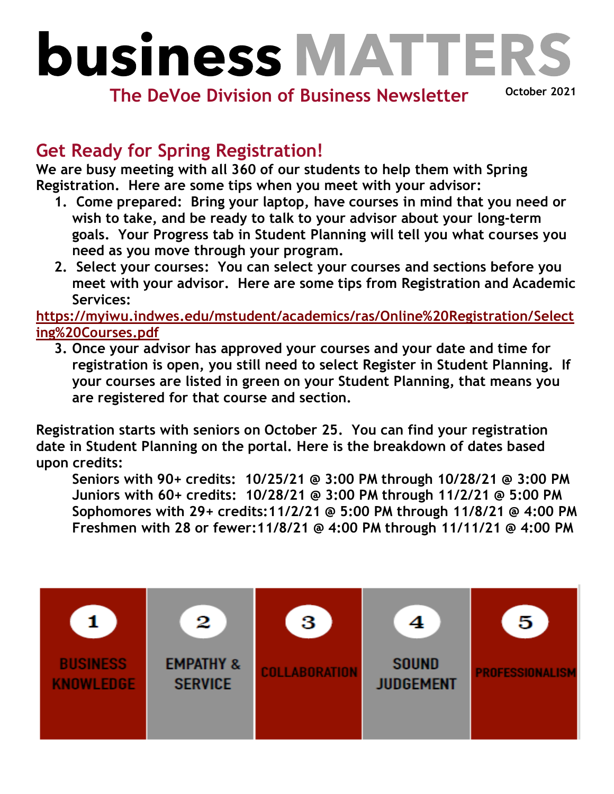## **business MATTER**

**The DeVoe Division of Business Newsletter**

**October 2021**

## **Get Ready for Spring Registration!**

**We are busy meeting with all 360 of our students to help them with Spring Registration. Here are some tips when you meet with your advisor:** 

- **1. Come prepared: Bring your laptop, have courses in mind that you need or wish to take, and be ready to talk to your advisor about your long-term goals. Your Progress tab in Student Planning will tell you what courses you need as you move through your program.**
- **2. Select your courses: You can select your courses and sections before you meet with your advisor. Here are some tips from Registration and Academic Services:**

**[https://myiwu.indwes.edu/mstudent/academics/ras/Online%20Registration/Select](https://myiwu.indwes.edu/mstudent/academics/ras/Online%20Registration/Selecting%20Courses.pdf) [ing%20Courses.pdf](https://myiwu.indwes.edu/mstudent/academics/ras/Online%20Registration/Selecting%20Courses.pdf)**

**3. Once your advisor has approved your courses and your date and time for registration is open, you still need to select Register in Student Planning. If your courses are listed in green on your Student Planning, that means you are registered for that course and section.** 

**Registration starts with seniors on October 25. You can find your registration date in Student Planning on the portal. Here is the breakdown of dates based upon credits:**

**Seniors with 90+ credits: 10/25/21 @ 3:00 PM through 10/28/21 @ 3:00 PM Juniors with 60+ credits: 10/28/21 @ 3:00 PM through 11/2/21 @ 5:00 PM Sophomores with 29+ credits:11/2/21 @ 5:00 PM through 11/8/21 @ 4:00 PM Freshmen with 28 or fewer:11/8/21 @ 4:00 PM through 11/11/21 @ 4:00 PM**